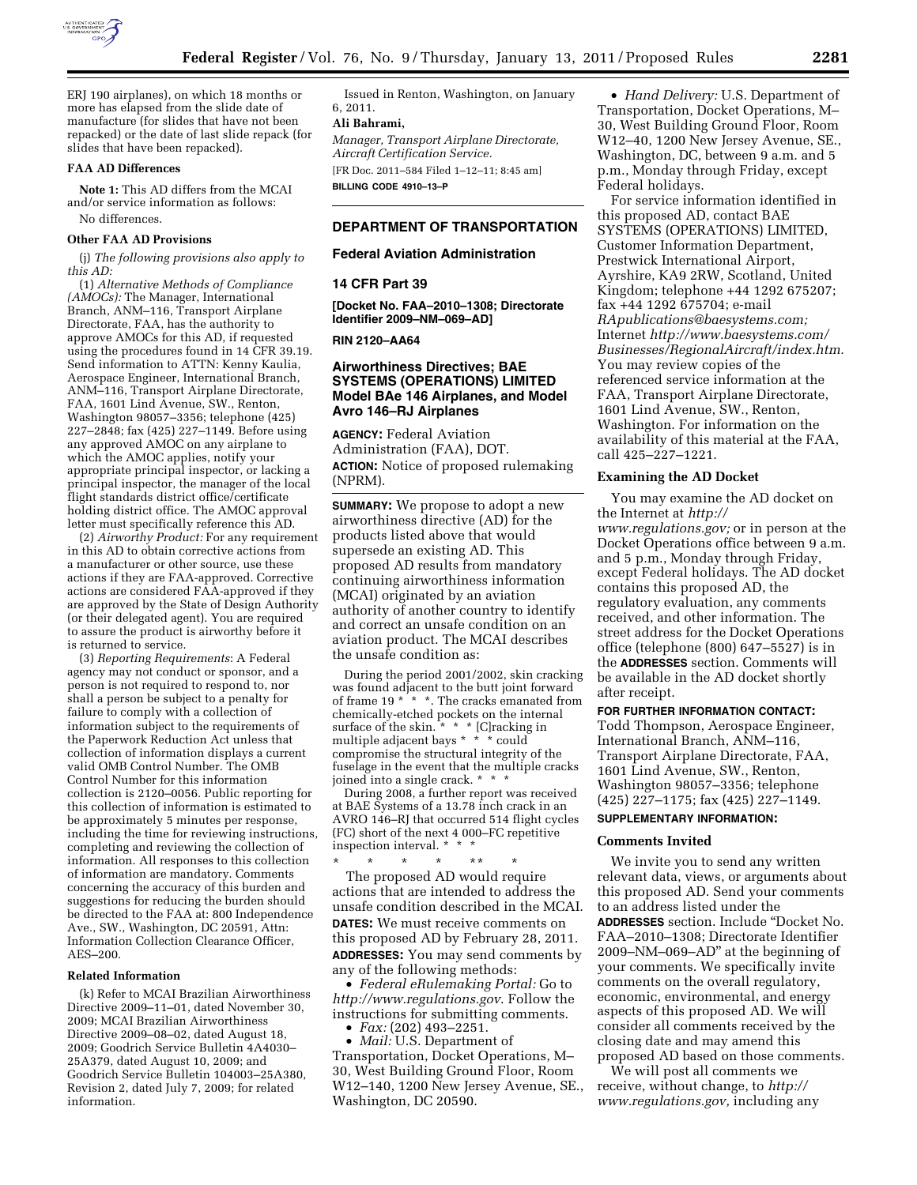

ERJ 190 airplanes), on which 18 months or more has elapsed from the slide date of manufacture (for slides that have not been repacked) or the date of last slide repack (for slides that have been repacked).

#### **FAA AD Differences**

**Note 1:** This AD differs from the MCAI and/or service information as follows: No differences.

# **Other FAA AD Provisions**

(j) *The following provisions also apply to this AD:* 

(1) *Alternative Methods of Compliance (AMOCs):* The Manager, International Branch, ANM–116, Transport Airplane Directorate, FAA, has the authority to approve AMOCs for this AD, if requested using the procedures found in 14 CFR 39.19. Send information to ATTN: Kenny Kaulia, Aerospace Engineer, International Branch, ANM–116, Transport Airplane Directorate, FAA, 1601 Lind Avenue, SW., Renton, Washington 98057–3356; telephone (425) 227–2848; fax (425) 227–1149. Before using any approved AMOC on any airplane to which the AMOC applies, notify your appropriate principal inspector, or lacking a principal inspector, the manager of the local flight standards district office/certificate holding district office. The AMOC approval letter must specifically reference this AD.

(2) *Airworthy Product:* For any requirement in this AD to obtain corrective actions from a manufacturer or other source, use these actions if they are FAA-approved. Corrective actions are considered FAA-approved if they are approved by the State of Design Authority (or their delegated agent). You are required to assure the product is airworthy before it is returned to service.

(3) *Reporting Requirements*: A Federal agency may not conduct or sponsor, and a person is not required to respond to, nor shall a person be subject to a penalty for failure to comply with a collection of information subject to the requirements of the Paperwork Reduction Act unless that collection of information displays a current valid OMB Control Number. The OMB Control Number for this information collection is 2120–0056. Public reporting for this collection of information is estimated to be approximately 5 minutes per response, including the time for reviewing instructions, completing and reviewing the collection of information. All responses to this collection of information are mandatory. Comments concerning the accuracy of this burden and suggestions for reducing the burden should be directed to the FAA at: 800 Independence Ave., SW., Washington, DC 20591, Attn: Information Collection Clearance Officer, AES–200.

### **Related Information**

(k) Refer to MCAI Brazilian Airworthiness Directive 2009–11–01, dated November 30, 2009; MCAI Brazilian Airworthiness Directive 2009–08–02, dated August 18, 2009; Goodrich Service Bulletin 4A4030– 25A379, dated August 10, 2009; and Goodrich Service Bulletin 104003–25A380, Revision 2, dated July 7, 2009; for related information.

Issued in Renton, Washington, on January 6, 2011.

# **Ali Bahrami,**

*Manager, Transport Airplane Directorate, Aircraft Certification Service.*  [FR Doc. 2011–584 Filed 1–12–11; 8:45 am] **BILLING CODE 4910–13–P** 

# **DEPARTMENT OF TRANSPORTATION**

# **Federal Aviation Administration**

### **14 CFR Part 39**

**[Docket No. FAA–2010–1308; Directorate Identifier 2009–NM–069–AD]** 

**RIN 2120–AA64** 

# **Airworthiness Directives; BAE SYSTEMS (OPERATIONS) LIMITED Model BAe 146 Airplanes, and Model Avro 146–RJ Airplanes**

**AGENCY:** Federal Aviation Administration (FAA), DOT. **ACTION:** Notice of proposed rulemaking (NPRM).

**SUMMARY:** We propose to adopt a new airworthiness directive (AD) for the products listed above that would supersede an existing AD. This proposed AD results from mandatory continuing airworthiness information (MCAI) originated by an aviation authority of another country to identify and correct an unsafe condition on an aviation product. The MCAI describes the unsafe condition as:

During the period 2001/2002, skin cracking was found adjacent to the butt joint forward of frame 19 \* \* \*. The cracks emanated from chemically-etched pockets on the internal surface of the skin. \* \* \* [C]racking in multiple adjacent bays \* \* \* could compromise the structural integrity of the fuselage in the event that the multiple cracks joined into a single crack. \* \* \*

During 2008, a further report was received at BAE Systems of a 13.78 inch crack in an AVRO 146–RJ that occurred 514 flight cycles (FC) short of the next 4 000–FC repetitive inspection interval. \*

\* \* \* \* \*\* \* The proposed AD would require actions that are intended to address the unsafe condition described in the MCAI. **DATES:** We must receive comments on this proposed AD by February 28, 2011. **ADDRESSES:** You may send comments by any of the following methods:

• *Federal eRulemaking Portal:* Go to *<http://www.regulations.gov>*. Follow the instructions for submitting comments.

• *Fax:* (202) 493–2251.

• *Mail:* U.S. Department of Transportation, Docket Operations, M– 30, West Building Ground Floor, Room W12–140, 1200 New Jersey Avenue, SE., Washington, DC 20590.

• *Hand Delivery:* U.S. Department of Transportation, Docket Operations, M– 30, West Building Ground Floor, Room W12–40, 1200 New Jersey Avenue, SE., Washington, DC, between 9 a.m. and 5 p.m., Monday through Friday, except Federal holidays.

For service information identified in this proposed AD, contact BAE SYSTEMS (OPERATIONS) LIMITED, Customer Information Department, Prestwick International Airport, Ayrshire, KA9 2RW, Scotland, United Kingdom; telephone +44 1292 675207; fax +44 1292 675704; e-mail *[RApublications@baesystems.com;](mailto:RApublications@baesystems.com)*  Internet *[http://www.baesystems.com/](http://www.baesystems.com/Businesses/RegionalAircraft/index.htm)  [Businesses/RegionalAircraft/index.htm.](http://www.baesystems.com/Businesses/RegionalAircraft/index.htm)*  You may review copies of the referenced service information at the FAA, Transport Airplane Directorate, 1601 Lind Avenue, SW., Renton, Washington. For information on the availability of this material at the FAA, call 425–227–1221.

# **Examining the AD Docket**

You may examine the AD docket on the Internet at *[http://](http://www.regulations.gov)  [www.regulations.gov;](http://www.regulations.gov)* or in person at the Docket Operations office between 9 a.m. and 5 p.m., Monday through Friday, except Federal holidays. The AD docket contains this proposed AD, the regulatory evaluation, any comments received, and other information. The street address for the Docket Operations office (telephone (800) 647–5527) is in the **ADDRESSES** section. Comments will be available in the AD docket shortly after receipt.

# **FOR FURTHER INFORMATION CONTACT:**

Todd Thompson, Aerospace Engineer, International Branch, ANM–116, Transport Airplane Directorate, FAA, 1601 Lind Avenue, SW., Renton, Washington 98057–3356; telephone (425) 227–1175; fax (425) 227–1149. **SUPPLEMENTARY INFORMATION:** 

# **Comments Invited**

We invite you to send any written relevant data, views, or arguments about this proposed AD. Send your comments to an address listed under the **ADDRESSES** section. Include ''Docket No. FAA–2010–1308; Directorate Identifier 2009–NM–069–AD'' at the beginning of your comments. We specifically invite comments on the overall regulatory, economic, environmental, and energy aspects of this proposed AD. We will consider all comments received by the closing date and may amend this proposed AD based on those comments.

We will post all comments we receive, without change, to *[http://](http://www.regulations.gov) [www.regulations.gov,](http://www.regulations.gov)* including any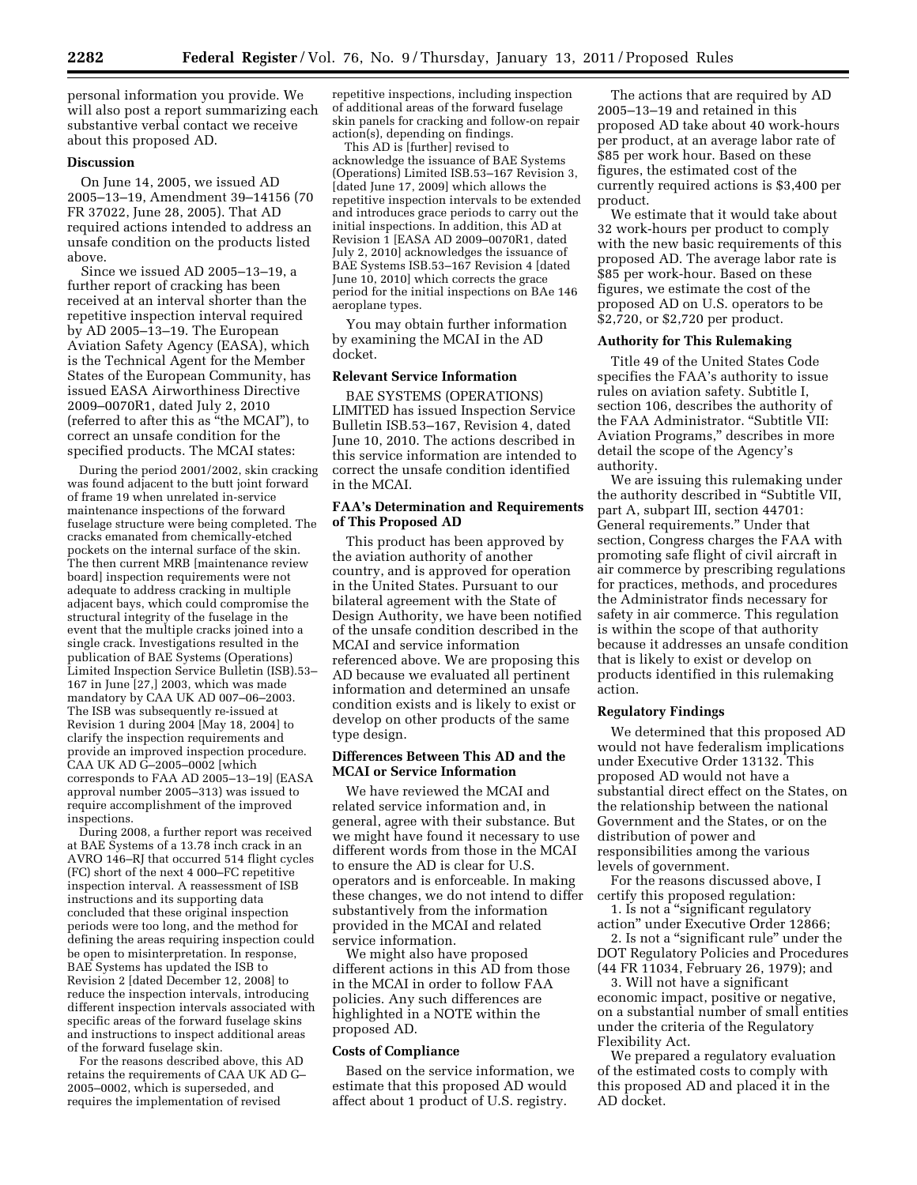personal information you provide. We will also post a report summarizing each substantive verbal contact we receive about this proposed AD.

# **Discussion**

On June 14, 2005, we issued AD 2005–13–19, Amendment 39–14156 (70 FR 37022, June 28, 2005). That AD required actions intended to address an unsafe condition on the products listed above.

Since we issued AD 2005–13–19, a further report of cracking has been received at an interval shorter than the repetitive inspection interval required by AD 2005–13–19. The European Aviation Safety Agency (EASA), which is the Technical Agent for the Member States of the European Community, has issued EASA Airworthiness Directive 2009–0070R1, dated July 2, 2010 (referred to after this as ''the MCAI''), to correct an unsafe condition for the specified products. The MCAI states:

During the period 2001/2002, skin cracking was found adjacent to the butt joint forward of frame 19 when unrelated in-service maintenance inspections of the forward fuselage structure were being completed. The cracks emanated from chemically-etched pockets on the internal surface of the skin. The then current MRB [maintenance review board] inspection requirements were not adequate to address cracking in multiple adjacent bays, which could compromise the structural integrity of the fuselage in the event that the multiple cracks joined into a single crack. Investigations resulted in the publication of BAE Systems (Operations) Limited Inspection Service Bulletin (ISB).53– 167 in June [27,] 2003, which was made mandatory by CAA UK AD 007–06–2003. The ISB was subsequently re-issued at Revision 1 during 2004 [May 18, 2004] to clarify the inspection requirements and provide an improved inspection procedure. CAA UK AD G–2005–0002 [which corresponds to FAA AD 2005–13–19] (EASA approval number 2005–313) was issued to require accomplishment of the improved inspections.

During 2008, a further report was received at BAE Systems of a 13.78 inch crack in an AVRO 146–RJ that occurred 514 flight cycles (FC) short of the next 4 000–FC repetitive inspection interval. A reassessment of ISB instructions and its supporting data concluded that these original inspection periods were too long, and the method for defining the areas requiring inspection could be open to misinterpretation. In response, BAE Systems has updated the ISB to Revision 2 [dated December 12, 2008] to reduce the inspection intervals, introducing different inspection intervals associated with specific areas of the forward fuselage skins and instructions to inspect additional areas of the forward fuselage skin.

For the reasons described above, this AD retains the requirements of CAA UK AD G– 2005–0002, which is superseded, and requires the implementation of revised

repetitive inspections, including inspection of additional areas of the forward fuselage skin panels for cracking and follow-on repair action(s), depending on findings.

This AD is [further] revised to acknowledge the issuance of BAE Systems (Operations) Limited ISB.53–167 Revision 3, [dated June 17, 2009] which allows the repetitive inspection intervals to be extended and introduces grace periods to carry out the initial inspections. In addition, this AD at Revision 1 [EASA AD 2009–0070R1, dated July 2, 2010] acknowledges the issuance of BAE Systems ISB.53–167 Revision 4 [dated June 10, 2010] which corrects the grace period for the initial inspections on BAe 146 aeroplane types.

You may obtain further information by examining the MCAI in the AD docket.

# **Relevant Service Information**

BAE SYSTEMS (OPERATIONS) LIMITED has issued Inspection Service Bulletin ISB.53–167, Revision 4, dated June 10, 2010. The actions described in this service information are intended to correct the unsafe condition identified in the MCAI.

# **FAA's Determination and Requirements of This Proposed AD**

This product has been approved by the aviation authority of another country, and is approved for operation in the United States. Pursuant to our bilateral agreement with the State of Design Authority, we have been notified of the unsafe condition described in the MCAI and service information referenced above. We are proposing this AD because we evaluated all pertinent information and determined an unsafe condition exists and is likely to exist or develop on other products of the same type design.

# **Differences Between This AD and the MCAI or Service Information**

We have reviewed the MCAI and related service information and, in general, agree with their substance. But we might have found it necessary to use different words from those in the MCAI to ensure the AD is clear for U.S. operators and is enforceable. In making these changes, we do not intend to differ substantively from the information provided in the MCAI and related service information.

We might also have proposed different actions in this AD from those in the MCAI in order to follow FAA policies. Any such differences are highlighted in a NOTE within the proposed AD.

# **Costs of Compliance**

Based on the service information, we estimate that this proposed AD would affect about 1 product of U.S. registry.

The actions that are required by AD 2005–13–19 and retained in this proposed AD take about 40 work-hours per product, at an average labor rate of \$85 per work hour. Based on these figures, the estimated cost of the currently required actions is \$3,400 per product.

We estimate that it would take about 32 work-hours per product to comply with the new basic requirements of this proposed AD. The average labor rate is \$85 per work-hour. Based on these figures, we estimate the cost of the proposed AD on U.S. operators to be \$2,720, or \$2,720 per product.

# **Authority for This Rulemaking**

Title 49 of the United States Code specifies the FAA's authority to issue rules on aviation safety. Subtitle I, section 106, describes the authority of the FAA Administrator. ''Subtitle VII: Aviation Programs,'' describes in more detail the scope of the Agency's authority.

We are issuing this rulemaking under the authority described in ''Subtitle VII, part A, subpart III, section 44701: General requirements.'' Under that section, Congress charges the FAA with promoting safe flight of civil aircraft in air commerce by prescribing regulations for practices, methods, and procedures the Administrator finds necessary for safety in air commerce. This regulation is within the scope of that authority because it addresses an unsafe condition that is likely to exist or develop on products identified in this rulemaking action.

# **Regulatory Findings**

We determined that this proposed AD would not have federalism implications under Executive Order 13132. This proposed AD would not have a substantial direct effect on the States, on the relationship between the national Government and the States, or on the distribution of power and responsibilities among the various levels of government.

For the reasons discussed above, I certify this proposed regulation:

1. Is not a ''significant regulatory action'' under Executive Order 12866;

2. Is not a "significant rule" under the DOT Regulatory Policies and Procedures (44 FR 11034, February 26, 1979); and

3. Will not have a significant economic impact, positive or negative, on a substantial number of small entities under the criteria of the Regulatory Flexibility Act.

We prepared a regulatory evaluation of the estimated costs to comply with this proposed AD and placed it in the AD docket.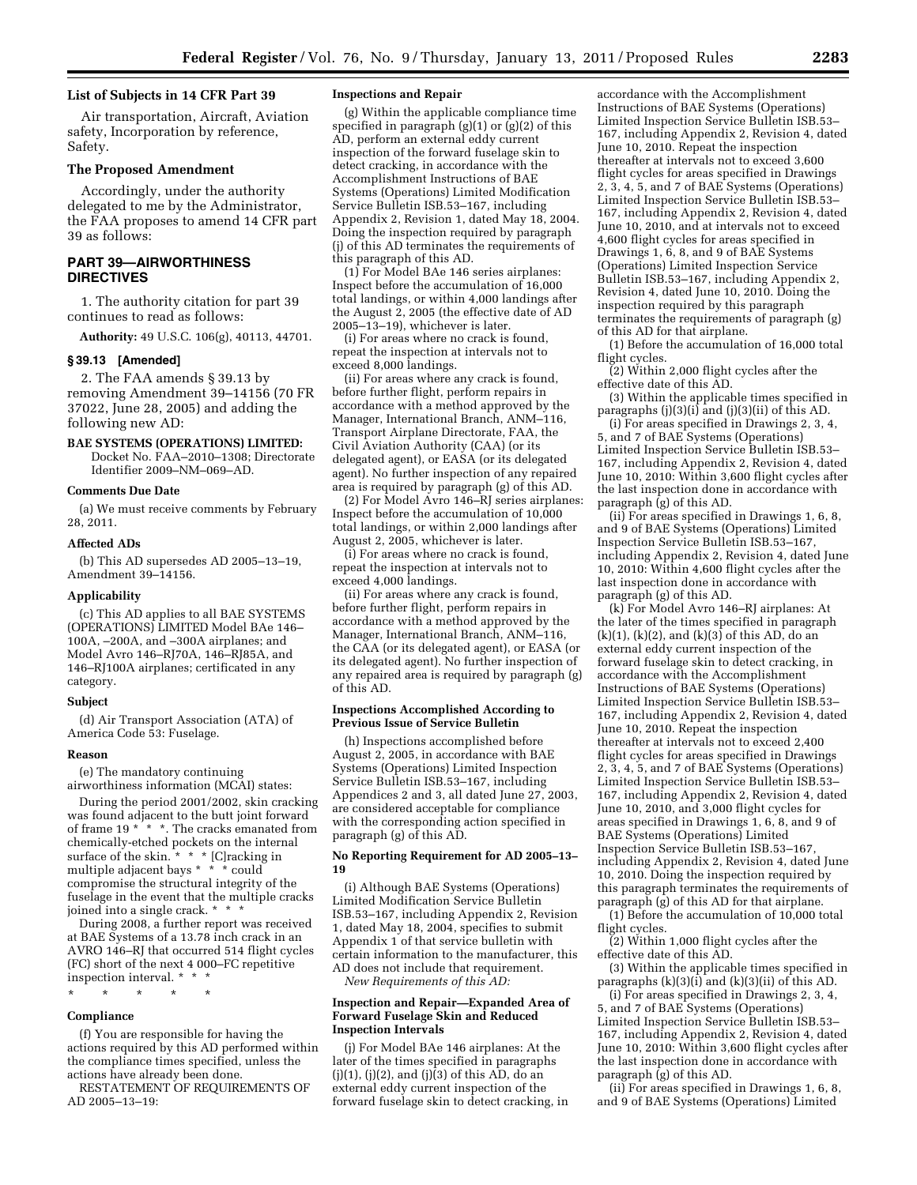# **List of Subjects in 14 CFR Part 39**

Air transportation, Aircraft, Aviation safety, Incorporation by reference, Safety.

# **The Proposed Amendment**

Accordingly, under the authority delegated to me by the Administrator, the FAA proposes to amend 14 CFR part 39 as follows:

# **PART 39—AIRWORTHINESS DIRECTIVES**

1. The authority citation for part 39 continues to read as follows:

**Authority:** 49 U.S.C. 106(g), 40113, 44701.

# **§ 39.13 [Amended]**

2. The FAA amends § 39.13 by removing Amendment 39–14156 (70 FR 37022, June 28, 2005) and adding the following new AD:

# **BAE SYSTEMS (OPERATIONS) LIMITED:**

Docket No. FAA–2010–1308; Directorate Identifier 2009–NM–069–AD.

# **Comments Due Date**

(a) We must receive comments by February 28, 2011.

#### **Affected ADs**

(b) This AD supersedes AD 2005–13–19, Amendment 39–14156.

#### **Applicability**

(c) This AD applies to all BAE SYSTEMS (OPERATIONS) LIMITED Model BAe 146– 100A, –200A, and –300A airplanes; and Model Avro 146–RJ70A, 146–RJ85A, and 146–RJ100A airplanes; certificated in any category.

## **Subject**

(d) Air Transport Association (ATA) of America Code 53: Fuselage.

#### **Reason**

(e) The mandatory continuing airworthiness information (MCAI) states:

During the period 2001/2002, skin cracking was found adjacent to the butt joint forward of frame 19<sup>\*</sup> \* \*. The cracks emanated from chemically-etched pockets on the internal surface of the skin.<sup>\*</sup> \* \* [C]racking in multiple adjacent bays \* \* \* could compromise the structural integrity of the fuselage in the event that the multiple cracks joined into a single crack. \* \* \*

During 2008, a further report was received at BAE Systems of a 13.78 inch crack in an AVRO 146–RJ that occurred 514 flight cycles (FC) short of the next 4 000–FC repetitive inspection interval. \* \* \*

\* \* \* \* \*

#### **Compliance**

(f) You are responsible for having the actions required by this AD performed within the compliance times specified, unless the actions have already been done.

RESTATEMENT OF REQUIREMENTS OF AD 2005–13–19:

## **Inspections and Repair**

(g) Within the applicable compliance time specified in paragraph  $(g)(1)$  or  $(g)(2)$  of this AD, perform an external eddy current inspection of the forward fuselage skin to detect cracking, in accordance with the Accomplishment Instructions of BAE Systems (Operations) Limited Modification Service Bulletin ISB.53–167, including Appendix 2, Revision 1, dated May 18, 2004. Doing the inspection required by paragraph (j) of this AD terminates the requirements of this paragraph of this AD.

(1) For Model BAe 146 series airplanes: Inspect before the accumulation of 16,000 total landings, or within 4,000 landings after the August 2, 2005 (the effective date of AD 2005–13–19), whichever is later.

(i) For areas where no crack is found, repeat the inspection at intervals not to exceed 8,000 landings.

(ii) For areas where any crack is found, before further flight, perform repairs in accordance with a method approved by the Manager, International Branch, ANM–116, Transport Airplane Directorate, FAA, the Civil Aviation Authority (CAA) (or its delegated agent), or EASA (or its delegated agent). No further inspection of any repaired area is required by paragraph (g) of this AD.

(2) For Model Avro 146–RJ series airplanes: Inspect before the accumulation of 10,000 total landings, or within 2,000 landings after August 2, 2005, whichever is later.

(i) For areas where no crack is found, repeat the inspection at intervals not to exceed 4,000 landings.

(ii) For areas where any crack is found, before further flight, perform repairs in accordance with a method approved by the Manager, International Branch, ANM–116, the CAA (or its delegated agent), or EASA (or its delegated agent). No further inspection of any repaired area is required by paragraph (g) of this AD.

#### **Inspections Accomplished According to Previous Issue of Service Bulletin**

(h) Inspections accomplished before August 2, 2005, in accordance with BAE Systems (Operations) Limited Inspection Service Bulletin ISB.53–167, including Appendices 2 and 3, all dated June 27, 2003, are considered acceptable for compliance with the corresponding action specified in paragraph (g) of this AD.

# **No Reporting Requirement for AD 2005–13– 19**

(i) Although BAE Systems (Operations) Limited Modification Service Bulletin ISB.53–167, including Appendix 2, Revision 1, dated May 18, 2004, specifies to submit Appendix 1 of that service bulletin with certain information to the manufacturer, this AD does not include that requirement.

*New Requirements of this AD:* 

# **Inspection and Repair—Expanded Area of Forward Fuselage Skin and Reduced Inspection Intervals**

(j) For Model BAe 146 airplanes: At the later of the times specified in paragraphs  $(j)(1)$ ,  $(j)(2)$ , and  $(j)(3)$  of this AD, do an external eddy current inspection of the forward fuselage skin to detect cracking, in

accordance with the Accomplishment Instructions of BAE Systems (Operations) Limited Inspection Service Bulletin ISB.53– 167, including Appendix 2, Revision 4, dated June 10, 2010. Repeat the inspection thereafter at intervals not to exceed 3,600 flight cycles for areas specified in Drawings 2, 3, 4, 5, and 7 of BAE Systems (Operations) Limited Inspection Service Bulletin ISB.53– 167, including Appendix 2, Revision 4, dated June 10, 2010, and at intervals not to exceed 4,600 flight cycles for areas specified in Drawings 1, 6, 8, and 9 of BAE Systems (Operations) Limited Inspection Service Bulletin ISB.53–167, including Appendix 2, Revision 4, dated June 10, 2010. Doing the inspection required by this paragraph terminates the requirements of paragraph (g) of this AD for that airplane.

(1) Before the accumulation of 16,000 total flight cycles.

(2) Within 2,000 flight cycles after the effective date of this AD.

(3) Within the applicable times specified in paragraphs  $(j)(3)(i)$  and  $(j)(3)(ii)$  of this AD.

(i) For areas specified in Drawings 2, 3, 4, 5, and 7 of BAE Systems (Operations) Limited Inspection Service Bulletin ISB.53– 167, including Appendix 2, Revision 4, dated June 10, 2010: Within 3,600 flight cycles after the last inspection done in accordance with paragraph (g) of this AD.

(ii) For areas specified in Drawings 1, 6, 8, and 9 of BAE Systems (Operations) Limited Inspection Service Bulletin ISB.53–167, including Appendix 2, Revision 4, dated June 10, 2010: Within 4,600 flight cycles after the last inspection done in accordance with paragraph (g) of this AD.

(k) For Model Avro 146–RJ airplanes: At the later of the times specified in paragraph  $(k)(1)$ ,  $(k)(2)$ , and  $(k)(3)$  of this AD, do an external eddy current inspection of the forward fuselage skin to detect cracking, in accordance with the Accomplishment Instructions of BAE Systems (Operations) Limited Inspection Service Bulletin ISB.53– 167, including Appendix 2, Revision 4, dated June 10, 2010. Repeat the inspection thereafter at intervals not to exceed 2,400 flight cycles for areas specified in Drawings 2, 3, 4, 5, and 7 of BAE Systems (Operations) Limited Inspection Service Bulletin ISB.53– 167, including Appendix 2, Revision 4, dated June 10, 2010, and 3,000 flight cycles for areas specified in Drawings 1, 6, 8, and 9 of BAE Systems (Operations) Limited Inspection Service Bulletin ISB.53–167, including Appendix 2, Revision 4, dated June 10, 2010. Doing the inspection required by this paragraph terminates the requirements of paragraph (g) of this AD for that airplane. (1) Before the accumulation of 10,000 total

flight cycles. (2) Within 1,000 flight cycles after the effective date of this AD.

(3) Within the applicable times specified in paragraphs  $(k)(3)(i)$  and  $(k)(3)(ii)$  of this AD.

(i) For areas specified in Drawings 2, 3, 4, 5, and 7 of BAE Systems (Operations) Limited Inspection Service Bulletin ISB.53– 167, including Appendix 2, Revision 4, dated June 10, 2010: Within 3,600 flight cycles after the last inspection done in accordance with paragraph (g) of this AD.

(ii) For areas specified in Drawings 1, 6, 8, and 9 of BAE Systems (Operations) Limited